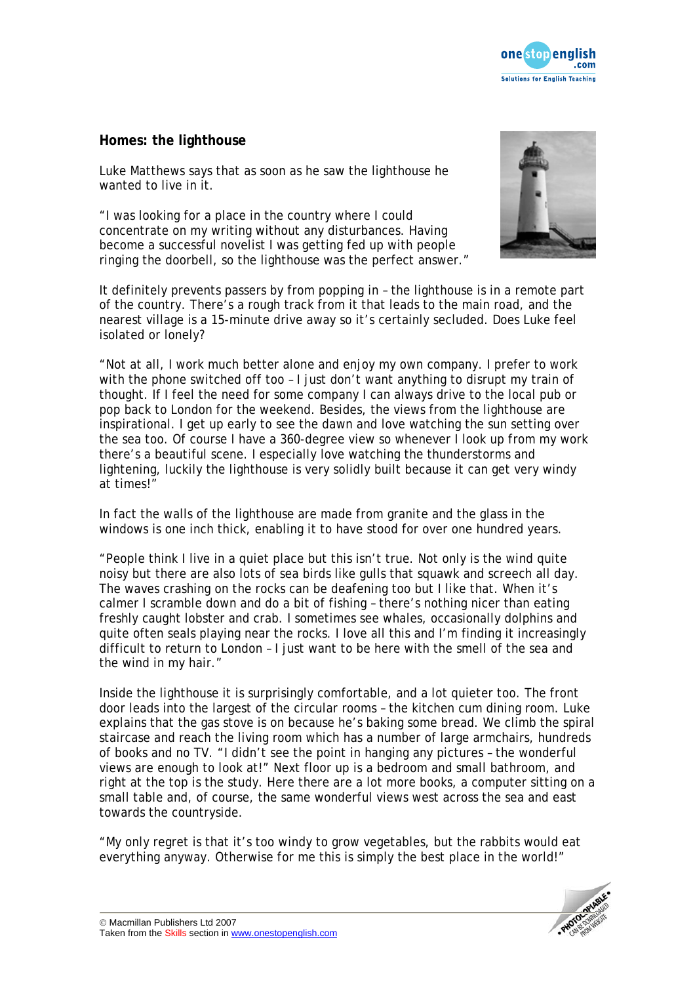

## **Homes: the lighthouse**

Luke Matthews says that as soon as he saw the lighthouse he wanted to live in it.

"I was looking for a place in the country where I could concentrate on my writing without any disturbances. Having become a successful novelist I was getting fed up with people ringing the doorbell, so the lighthouse was the perfect answer."



It definitely prevents passers by from popping in – the lighthouse is in a remote part of the country. There's a rough track from it that leads to the main road, and the nearest village is a 15-minute drive away so it's certainly secluded. Does Luke feel isolated or lonely?

"Not at all, I work much better alone and enjoy my own company. I prefer to work with the phone switched off too - I just don't want anything to disrupt my train of thought. If I feel the need for some company I can always drive to the local pub or pop back to London for the weekend. Besides, the views from the lighthouse are inspirational. I get up early to see the dawn and love watching the sun setting over the sea too. Of course I have a 360-degree view so whenever I look up from my work there's a beautiful scene. I especially love watching the thunderstorms and lightening, luckily the lighthouse is very solidly built because it can get very windy at times!"

In fact the walls of the lighthouse are made from granite and the glass in the windows is one inch thick, enabling it to have stood for over one hundred years.

"People think I live in a quiet place but this isn't true. Not only is the wind quite noisy but there are also lots of sea birds like gulls that squawk and screech all day. The waves crashing on the rocks can be deafening too but I like that. When it's calmer I scramble down and do a bit of fishing – there's nothing nicer than eating freshly caught lobster and crab. I sometimes see whales, occasionally dolphins and quite often seals playing near the rocks. I love all this and I'm finding it increasingly difficult to return to London – I just want to be here with the smell of the sea and the wind in my hair."

Inside the lighthouse it is surprisingly comfortable, and a lot quieter too. The front door leads into the largest of the circular rooms – the kitchen cum dining room. Luke explains that the gas stove is on because he's baking some bread. We climb the spiral staircase and reach the living room which has a number of large armchairs, hundreds of books and no TV. "I didn't see the point in hanging any pictures – the wonderful views are enough to look at!" Next floor up is a bedroom and small bathroom, and right at the top is the study. Here there are a lot more books, a computer sitting on a small table and, of course, the same wonderful views west across the sea and east towards the countryside.

"My only regret is that it's too windy to grow vegetables, but the rabbits would eat everything anyway. Otherwise for me this is simply the best place in the world!"